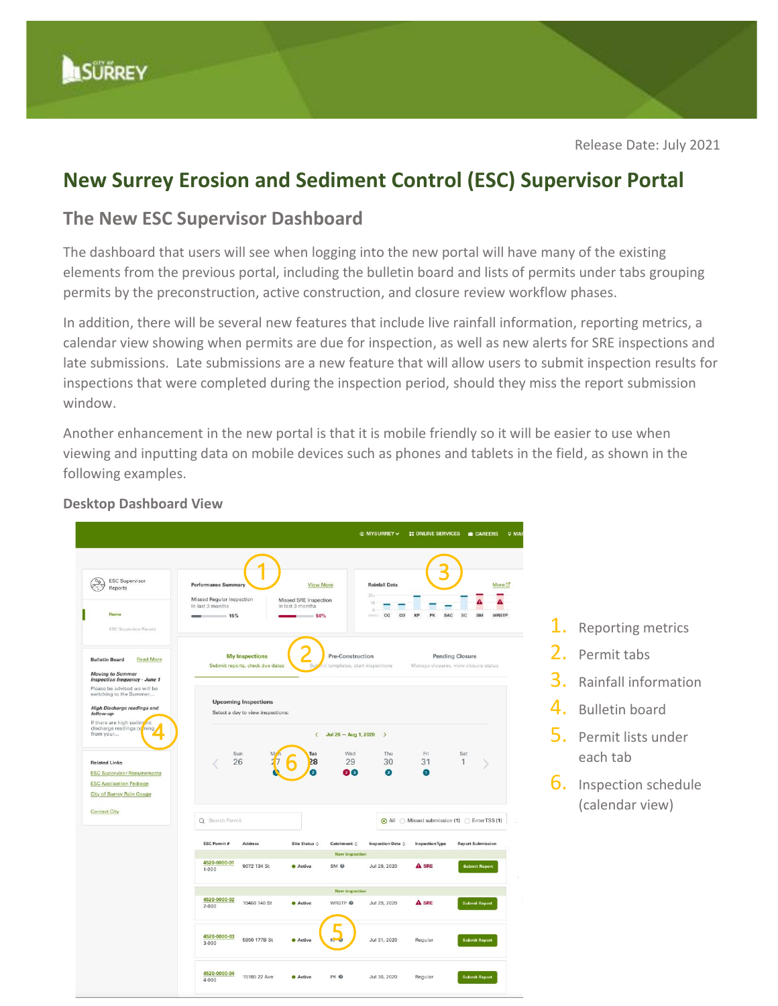# **New Surrey Erosion and Sediment Control (ESC) Supervisor Portal**

## **The New ESC Supervisor Dashboard**

The dashboard that users will see when logging into the new portal will have many of the existing elements from the previous portal, including the bulletin board and lists of permits under tabs grouping permits by the preconstruction, active construction, and closure review workflow phases.

In addition, there will be several new features that include live rainfall information, reporting metrics, a calendar view showing when permits are due for inspection, as well as new alerts for SRE inspections and late submissions. Late submissions are a new feature that will allow users to submit inspection results for inspections that were completed during the inspection period, should they miss the report submission window.

Another enhancement in the new portal is that it is mobile friendly so it will be easier to use when viewing and inputting data on mobile devices such as phones and tablets in the field, as shown in the following examples.



### **Desktop Dashboard View**

- 1. Reporting metrics
- 2. Permit tabs
- 3. Rainfall information
- 4. Bulletin board
- 5. Permit lists under each tab
- **6.** Inspection schedule (calendar view)